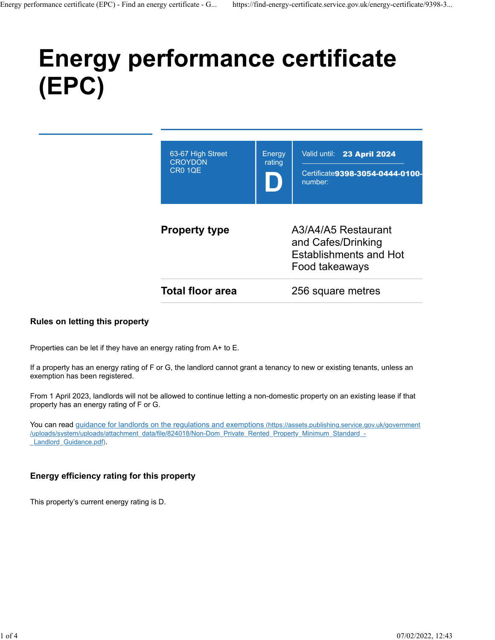# **Energy performance certificate (EPC)**

| 63-67 High Street<br><b>CROYDON</b><br><b>CR0 1QE</b> | Energy<br>rating                                                                             | Valid until: 23 April 2024<br>Certificate9398-3054-0444-0100-<br>number: |
|-------------------------------------------------------|----------------------------------------------------------------------------------------------|--------------------------------------------------------------------------|
| <b>Property type</b>                                  | A3/A4/A5 Restaurant<br>and Cafes/Drinking<br><b>Establishments and Hot</b><br>Food takeaways |                                                                          |
| <b>Total floor area</b>                               |                                                                                              | 256 square metres                                                        |

#### **Rules on letting this property**

Properties can be let if they have an energy rating from A+ to E.

If a property has an energy rating of F or G, the landlord cannot grant a tenancy to new or existing tenants, unless an exemption has been registered.

From 1 April 2023, landlords will not be allowed to continue letting a non-domestic property on an existing lease if that property has an energy rating of F or G.

You can read [guidance for landlords on the regulations and exemptions \(https://assets.publishing.service.gov.uk/government](https://assets.publishing.service.gov.uk/government/uploads/system/uploads/attachment_data/file/824018/Non-Dom_Private_Rented_Property_Minimum_Standard_-_Landlord_Guidance.pdf) [/uploads/system/uploads/attachment\\_data/file/824018/Non-Dom\\_Private\\_Rented\\_Property\\_Minimum\\_Standard\\_-](https://assets.publishing.service.gov.uk/government/uploads/system/uploads/attachment_data/file/824018/Non-Dom_Private_Rented_Property_Minimum_Standard_-_Landlord_Guidance.pdf) Landlord Guidance.pdf).

#### **Energy efficiency rating for this property**

This property's current energy rating is D.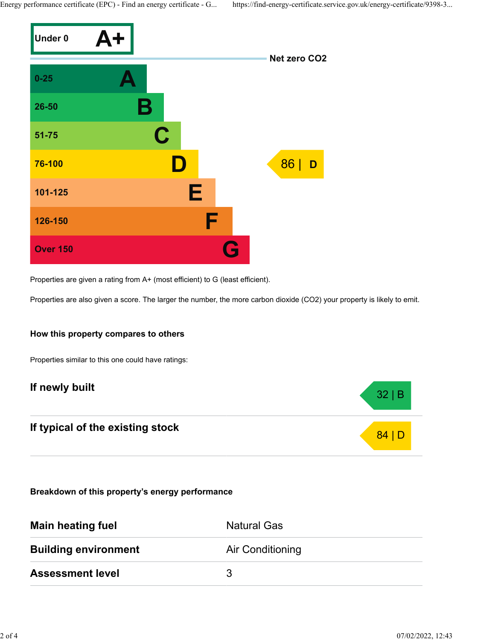Energy performance certificate (EPC) - Find an energy certificate - G... https://find-energy-certificate.service.gov.uk/energy-certificate/9398-3...



Properties are given a rating from A+ (most efficient) to G (least efficient).

Properties are also given a score. The larger the number, the more carbon dioxide (CO2) your property is likely to emit.

#### **How this property compares to others**

Properties similar to this one could have ratings:

# **If newly built** 32 | B

# **If typical of the existing stock** 84 | D

**Breakdown of this property's energy performance**

| <b>Main heating fuel</b>    | <b>Natural Gas</b>      |
|-----------------------------|-------------------------|
| <b>Building environment</b> | <b>Air Conditioning</b> |
| <b>Assessment level</b>     | 3                       |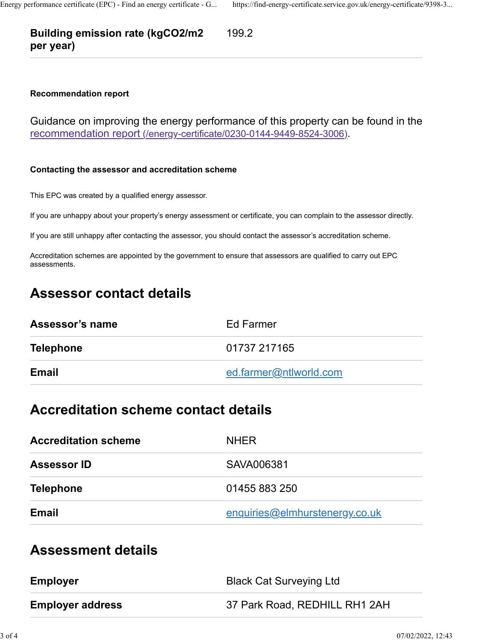#### **Building emission rate (kgCO2/m2 per year)** 199.2

#### **Recommendation report**

Guidance on improving the energy performance of this property can be found in the [recommendation report \(/energy-certificate/0230-0144-9449-8524-3006\).](https://find-energy-certificate.service.gov.uk/energy-certificate/0230-0144-9449-8524-3006)

#### **Contacting the assessor and accreditation scheme**

This EPC was created by a qualified energy assessor.

If you are unhappy about your property's energy assessment or certificate, you can complain to the assessor directly.

If you are still unhappy after contacting the assessor, you should contact the assessor's accreditation scheme.

Accreditation schemes are appointed by the government to ensure that assessors are qualified to carry out EPC assessments.

## **Assessor contact details**

| Assessor's name  | Ed Farmer              |
|------------------|------------------------|
| <b>Telephone</b> | 01737 217165           |
| <b>Email</b>     | ed.farmer@ntlworld.com |

### **Accreditation scheme contact details**

| <b>Accreditation scheme</b> | <b>NHER</b>                    |
|-----------------------------|--------------------------------|
| <b>Assessor ID</b>          | SAVA006381                     |
| <b>Telephone</b>            | 01455 883 250                  |
| Email                       | enquiries@elmhurstenergy.co.uk |

## **Assessment details**

| <b>Employer</b>         | <b>Black Cat Surveying Ltd</b> |
|-------------------------|--------------------------------|
| <b>Employer address</b> | 37 Park Road, REDHILL RH1 2AH  |